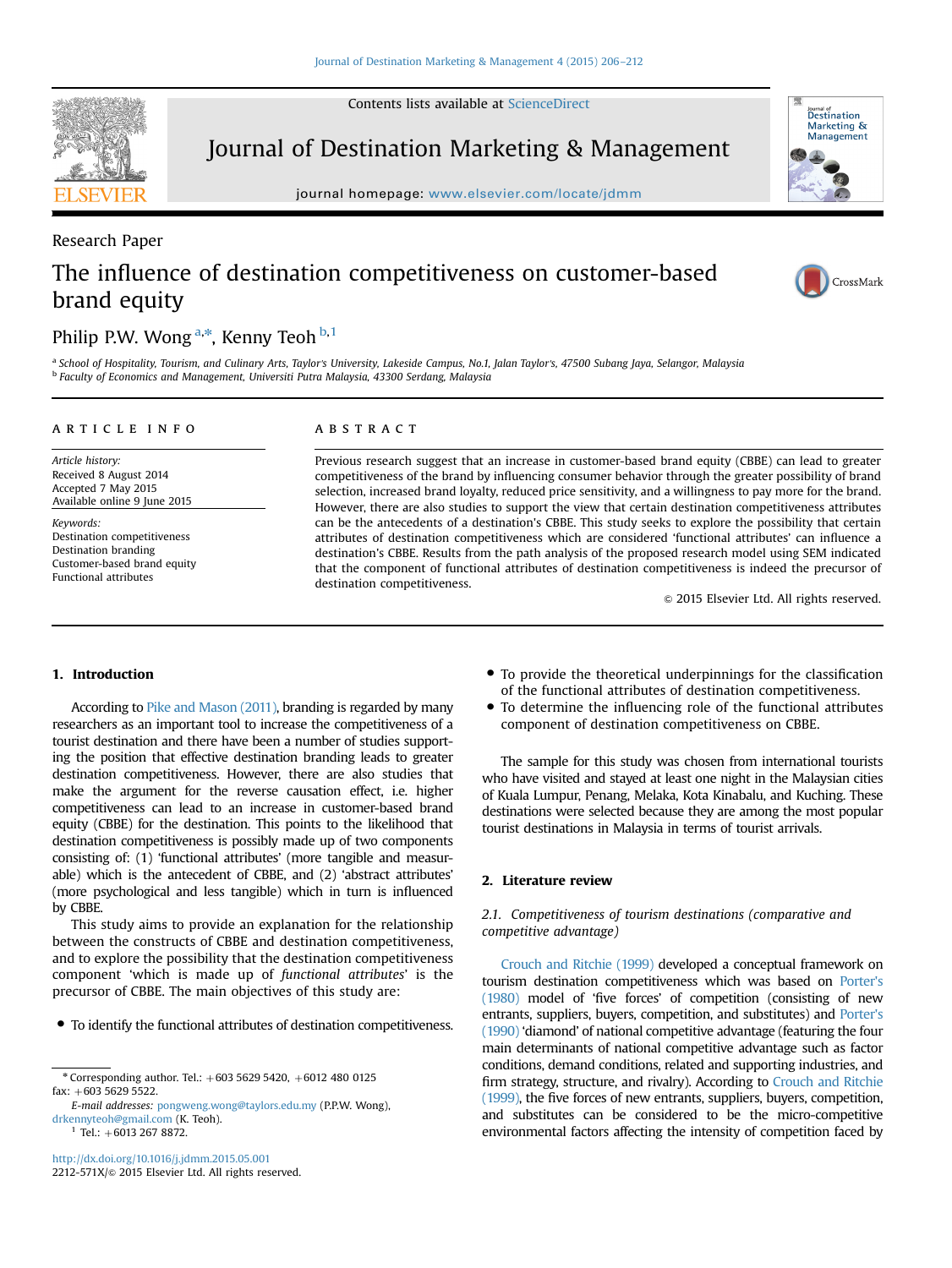Contents lists available at [ScienceDirect](www.sciencedirect.com/science/journal/2212571X)



Journal of Destination Marketing & Management

journal homepage: <www.elsevier.com/locate/jdmm>



## Research Paper The influence of destination competitiveness on customer-based brand equity



### Philip P.W. Wong <sup>a,\*</sup>, Kenny Teoh <sup>b,1</sup>

a School of Hospitality, Tourism, and Culinary Arts, Taylor's University, Lakeside Campus, No.1, Jalan Taylor's, 47500 Subang Jaya, Selangor, Malaysia <sup>b</sup> Faculty of Economics and Management, Universiti Putra Malaysia, 43300 Serdang, Malaysia

#### article info

Article history: Received 8 August 2014 Accepted 7 May 2015 Available online 9 June 2015

Keywords: Destination competitiveness Destination branding Customer-based brand equity Functional attributes

#### **ARSTRACT**

Previous research suggest that an increase in customer-based brand equity (CBBE) can lead to greater competitiveness of the brand by influencing consumer behavior through the greater possibility of brand selection, increased brand loyalty, reduced price sensitivity, and a willingness to pay more for the brand. However, there are also studies to support the view that certain destination competitiveness attributes can be the antecedents of a destination's CBBE. This study seeks to explore the possibility that certain attributes of destination competitiveness which are considered 'functional attributes' can influence a destination's CBBE. Results from the path analysis of the proposed research model using SEM indicated that the component of functional attributes of destination competitiveness is indeed the precursor of destination competitiveness.

 $@$  2015 Elsevier Ltd. All rights reserved.

#### 1. Introduction

According to Pike and Mason (2011), branding is regarded by many researchers as an important tool to increase the competitiveness of a tourist destination and there have been a number of studies supporting the position that effective destination branding leads to greater destination competitiveness. However, there are also studies that make the argument for the reverse causation effect, i.e. higher competitiveness can lead to an increase in customer-based brand equity (CBBE) for the destination. This points to the likelihood that destination competitiveness is possibly made up of two components consisting of: (1) 'functional attributes' (more tangible and measurable) which is the antecedent of CBBE, and (2) 'abstract attributes' (more psychological and less tangible) which in turn is influenced by CBBE.

This study aims to provide an explanation for the relationship between the constructs of CBBE and destination competitiveness, and to explore the possibility that the destination competitiveness component 'which is made up of functional attributes' is the precursor of CBBE. The main objectives of this study are:

To identify the functional attributes of destination competitiveness.

- To provide the theoretical underpinnings for the classification of the functional attributes of destination competitiveness.
- To determine the influencing role of the functional attributes component of destination competitiveness on CBBE.

The sample for this study was chosen from international tourists who have visited and stayed at least one night in the Malaysian cities of Kuala Lumpur, Penang, Melaka, Kota Kinabalu, and Kuching. These destinations were selected because they are among the most popular tourist destinations in Malaysia in terms of tourist arrivals.

#### 2. Literature review

#### 2.1. Competitiveness of tourism destinations (comparative and competitive advantage)

Crouch and Ritchie (1999) developed a conceptual framework on tourism destination competitiveness which was based on Porter's (1980) model of 'five forces' of competition (consisting of new entrants, suppliers, buyers, competition, and substitutes) and Porter's (1990) 'diamond' of national competitive advantage (featuring the four main determinants of national competitive advantage such as factor conditions, demand conditions, related and supporting industries, and firm strategy, structure, and rivalry). According to Crouch and Ritchie (1999), the five forces of new entrants, suppliers, buyers, competition, and substitutes can be considered to be the micro-competitive environmental factors affecting the intensity of competition faced by

 $*$  Corresponding author. Tel.:  $+603$  5629 5420,  $+6012$  480 0125  $fax: +603\,5629\,5522.$ 

E-mail addresses: [pongweng.wong@taylors.edu.my](mailto:pongweng.wong@taylors.edu.my) (P.P.W. Wong), [drkennyteoh@gmail.com](mailto:drkennyteoh@gmail.com) (K. Teoh).

 $1$  Tel.: +6013 267 8872.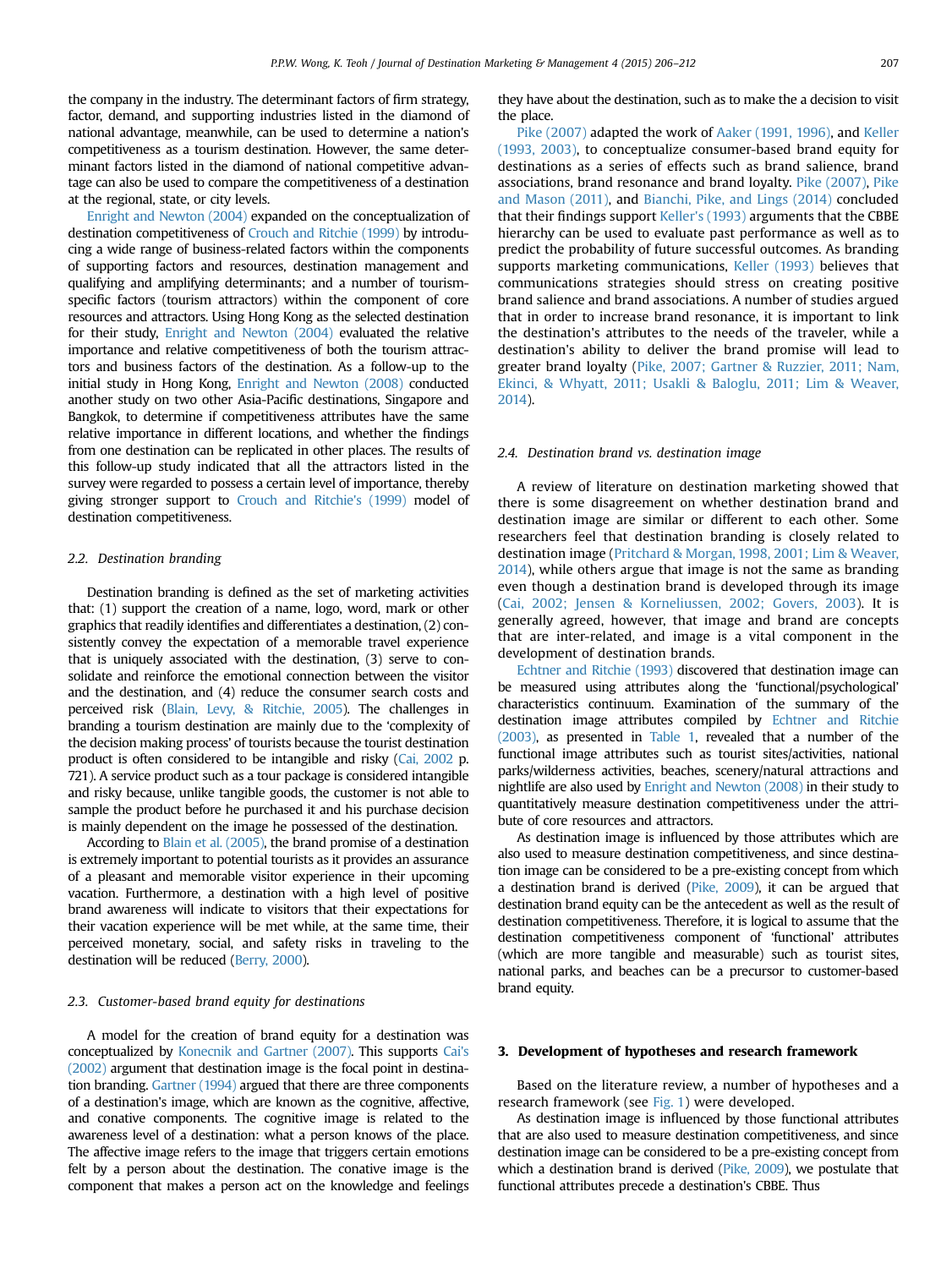the company in the industry. The determinant factors of firm strategy, factor, demand, and supporting industries listed in the diamond of national advantage, meanwhile, can be used to determine a nation's competitiveness as a tourism destination. However, the same determinant factors listed in the diamond of national competitive advantage can also be used to compare the competitiveness of a destination at the regional, state, or city levels.

Enright and Newton (2004) expanded on the conceptualization of destination competitiveness of Crouch and Ritchie (1999) by introducing a wide range of business-related factors within the components of supporting factors and resources, destination management and qualifying and amplifying determinants; and a number of tourismspecific factors (tourism attractors) within the component of core resources and attractors. Using Hong Kong as the selected destination for their study, Enright and Newton (2004) evaluated the relative importance and relative competitiveness of both the tourism attractors and business factors of the destination. As a follow-up to the initial study in Hong Kong, Enright and Newton (2008) conducted another study on two other Asia-Pacific destinations, Singapore and Bangkok, to determine if competitiveness attributes have the same relative importance in different locations, and whether the findings from one destination can be replicated in other places. The results of this follow-up study indicated that all the attractors listed in the survey were regarded to possess a certain level of importance, thereby giving stronger support to Crouch and Ritchie's (1999) model of destination competitiveness.

#### 2.2. Destination branding

Destination branding is defined as the set of marketing activities that: (1) support the creation of a name, logo, word, mark or other graphics that readily identifies and differentiates a destination, (2) consistently convey the expectation of a memorable travel experience that is uniquely associated with the destination, (3) serve to consolidate and reinforce the emotional connection between the visitor and the destination, and (4) reduce the consumer search costs and perceived risk (Blain, Levy, & Ritchie, 2005). The challenges in branding a tourism destination are mainly due to the 'complexity of the decision making process' of tourists because the tourist destination product is often considered to be intangible and risky (Cai, 2002 p. 721). A service product such as a tour package is considered intangible and risky because, unlike tangible goods, the customer is not able to sample the product before he purchased it and his purchase decision is mainly dependent on the image he possessed of the destination.

According to Blain et al. (2005), the brand promise of a destination is extremely important to potential tourists as it provides an assurance of a pleasant and memorable visitor experience in their upcoming vacation. Furthermore, a destination with a high level of positive brand awareness will indicate to visitors that their expectations for their vacation experience will be met while, at the same time, their perceived monetary, social, and safety risks in traveling to the destination will be reduced (Berry, 2000).

#### 2.3. Customer-based brand equity for destinations

A model for the creation of brand equity for a destination was conceptualized by Konecnik and Gartner (2007). This supports Cai's (2002) argument that destination image is the focal point in destination branding. Gartner (1994) argued that there are three components of a destination's image, which are known as the cognitive, affective, and conative components. The cognitive image is related to the awareness level of a destination: what a person knows of the place. The affective image refers to the image that triggers certain emotions felt by a person about the destination. The conative image is the component that makes a person act on the knowledge and feelings

they have about the destination, such as to make the a decision to visit the place.

Pike (2007) adapted the work of Aaker (1991, 1996), and Keller (1993, 2003), to conceptualize consumer-based brand equity for destinations as a series of effects such as brand salience, brand associations, brand resonance and brand loyalty. Pike (2007), Pike and Mason (2011), and Bianchi, Pike, and Lings (2014) concluded that their findings support Keller's (1993) arguments that the CBBE hierarchy can be used to evaluate past performance as well as to predict the probability of future successful outcomes. As branding supports marketing communications, Keller (1993) believes that communications strategies should stress on creating positive brand salience and brand associations. A number of studies argued that in order to increase brand resonance, it is important to link the destination's attributes to the needs of the traveler, while a destination's ability to deliver the brand promise will lead to greater brand loyalty (Pike, 2007; Gartner & Ruzzier, 2011; Nam, Ekinci, & Whyatt, 2011; Usakli & Baloglu, 2011; Lim & Weaver, 2014).

#### 2.4. Destination brand vs. destination image

A review of literature on destination marketing showed that there is some disagreement on whether destination brand and destination image are similar or different to each other. Some researchers feel that destination branding is closely related to destination image (Pritchard & Morgan, 1998, 2001; Lim & Weaver, 2014), while others argue that image is not the same as branding even though a destination brand is developed through its image (Cai, 2002; Jensen & Korneliussen, 2002; Govers, 2003). It is generally agreed, however, that image and brand are concepts that are inter-related, and image is a vital component in the development of destination brands.

Echtner and Ritchie (1993) discovered that destination image can be measured using attributes along the 'functional/psychological' characteristics continuum. Examination of the summary of the destination image attributes compiled by Echtner and Ritchie (2003), as presented in Table 1, revealed that a number of the functional image attributes such as tourist sites/activities, national parks/wilderness activities, beaches, scenery/natural attractions and nightlife are also used by Enright and Newton (2008) in their study to quantitatively measure destination competitiveness under the attribute of core resources and attractors.

As destination image is influenced by those attributes which are also used to measure destination competitiveness, and since destination image can be considered to be a pre-existing concept from which a destination brand is derived (Pike, 2009), it can be argued that destination brand equity can be the antecedent as well as the result of destination competitiveness. Therefore, it is logical to assume that the destination competitiveness component of 'functional' attributes (which are more tangible and measurable) such as tourist sites, national parks, and beaches can be a precursor to customer-based brand equity.

#### 3. Development of hypotheses and research framework

Based on the literature review, a number of hypotheses and a research framework (see Fig. 1) were developed.

As destination image is influenced by those functional attributes that are also used to measure destination competitiveness, and since destination image can be considered to be a pre-existing concept from which a destination brand is derived (Pike, 2009), we postulate that functional attributes precede a destination's CBBE. Thus